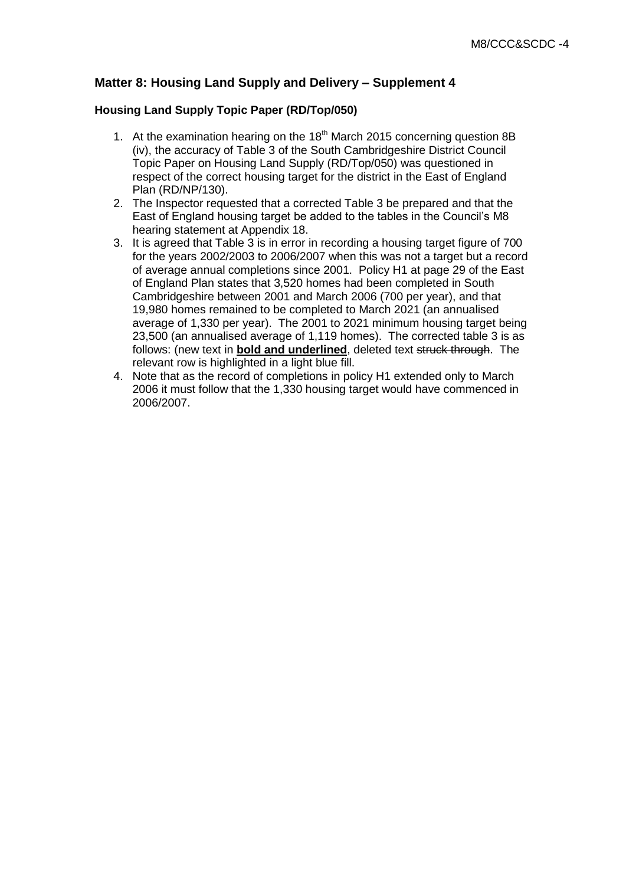# **Matter 8: Housing Land Supply and Delivery – Supplement 4**

### **Housing Land Supply Topic Paper (RD/Top/050)**

- 1. At the examination hearing on the  $18<sup>th</sup>$  March 2015 concerning question 8B (iv), the accuracy of Table 3 of the South Cambridgeshire District Council Topic Paper on Housing Land Supply (RD/Top/050) was questioned in respect of the correct housing target for the district in the East of England Plan (RD/NP/130).
- 2. The Inspector requested that a corrected Table 3 be prepared and that the East of England housing target be added to the tables in the Council's M8 hearing statement at Appendix 18.
- 3. It is agreed that Table 3 is in error in recording a housing target figure of 700 for the years 2002/2003 to 2006/2007 when this was not a target but a record of average annual completions since 2001. Policy H1 at page 29 of the East of England Plan states that 3,520 homes had been completed in South Cambridgeshire between 2001 and March 2006 (700 per year), and that 19,980 homes remained to be completed to March 2021 (an annualised average of 1,330 per year). The 2001 to 2021 minimum housing target being 23,500 (an annualised average of 1,119 homes). The corrected table 3 is as follows: (new text in **bold and underlined**, deleted text struck through. The relevant row is highlighted in a light blue fill.
- 4. Note that as the record of completions in policy H1 extended only to March 2006 it must follow that the 1,330 housing target would have commenced in 2006/2007.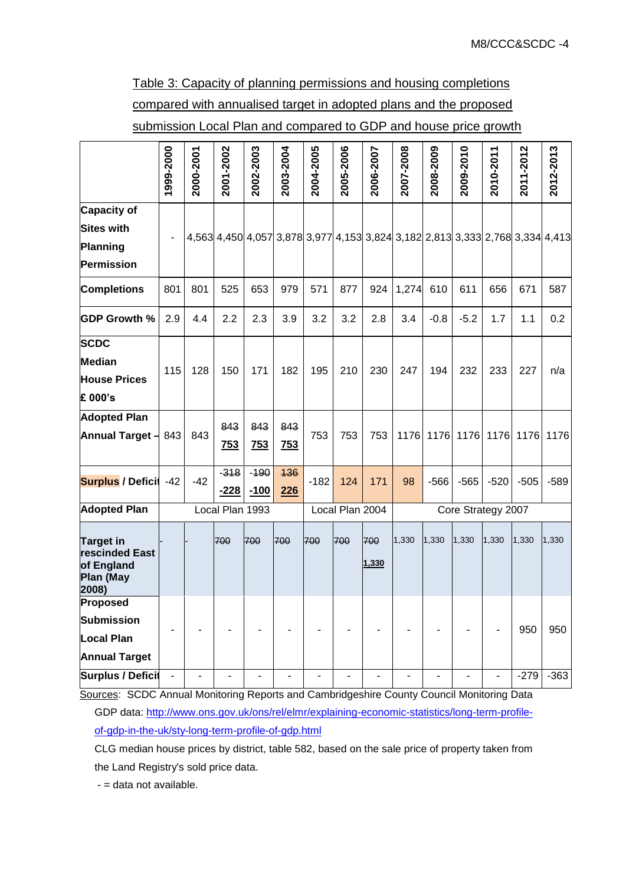Table 3: Capacity of planning permissions and housing completions compared with annualised target in adopted plans and the proposed submission Local Plan and compared to GDP and house price growth

|                                                                                 | 1999-2000                | 2000-2001                | 2001-2002        | 2002-2003         | 2003-2004         | 2004-2005                | 2005-2006       | 2006-2007                                                                     | 2007-2008                    | 2008-2009                    | 2009-2010 | 2010-2011                    | 2011-2012 | 2012-2013 |  |
|---------------------------------------------------------------------------------|--------------------------|--------------------------|------------------|-------------------|-------------------|--------------------------|-----------------|-------------------------------------------------------------------------------|------------------------------|------------------------------|-----------|------------------------------|-----------|-----------|--|
| <b>Capacity of</b><br><b>Sites with</b><br><b>Planning</b><br><b>Permission</b> |                          |                          |                  |                   |                   |                          |                 | 4,563 4,450 4,057 3,878 3,977 4,153 3,824 3,182 2,813 3,333 2,768 3,334 4,413 |                              |                              |           |                              |           |           |  |
| <b>Completions</b>                                                              | 801                      | 801                      | 525              | 653               | 979               | 571                      | 877             | 924                                                                           | 1,274                        | 610                          | 611       | 656                          | 671       | 587       |  |
| <b>GDP Growth %</b>                                                             | 2.9                      | 4.4                      | 2.2              | 2.3               | 3.9               | 3.2                      | 3.2             | 2.8                                                                           | 3.4                          | $-0.8$                       | $-5.2$    | 1.7                          | 1.1       | 0.2       |  |
| <b>SCDC</b><br><b>Median</b><br><b>House Prices</b><br>£ 000's                  | 115                      | 128                      | 150              | 171               | 182               | 195                      | 210             | 230                                                                           | 247                          | 194                          | 232       | 233                          | 227       | n/a       |  |
| <b>Adopted Plan</b><br>Annual Target $-$ 843                                    |                          | 843                      | 843<br>753       | 843<br><b>753</b> | 843<br><b>753</b> | 753                      | 753             | 753                                                                           | 1176                         | 1176                         | 1176      | 1176                         | 1176      | 1176      |  |
| <b>Surplus / Deficit</b>                                                        | $-42$                    | $-42$                    | $-318$<br>$-228$ | $-190$<br>$-100$  | 436<br>226        | $-182$                   | 124             | 171                                                                           | 98                           | $-566$                       | $-565$    | $-520$                       | $-505$    | $-589$    |  |
| <b>Adopted Plan</b>                                                             |                          |                          | Local Plan 1993  |                   |                   |                          | Local Plan 2004 |                                                                               | Core Strategy 2007           |                              |           |                              |           |           |  |
| <b>Target in</b><br>rescinded East<br>of England<br><b>Plan (May</b><br>2008)   |                          |                          | 700              | 700               | 700               | 700                      | 700             | 700<br>1,330                                                                  | 1,330                        | 1,330                        | 1,330     | 1,330                        | 1,330     | 1,330     |  |
| Proposed<br><b>Submission</b><br><b>Local Plan</b><br><b>Annual Target</b>      |                          |                          |                  |                   |                   |                          |                 |                                                                               |                              |                              |           |                              | 950       | 950       |  |
| <b>Surplus / Deficit</b>                                                        | $\overline{\phantom{a}}$ | $\overline{\phantom{0}}$ | -                | -                 | -                 | $\overline{\phantom{0}}$ |                 | $\overline{\phantom{a}}$                                                      | $\qquad \qquad \blacksquare$ | $\qquad \qquad \blacksquare$ |           | $\qquad \qquad \blacksquare$ | $-279$    | $-363$    |  |

Sources: SCDC Annual Monitoring Reports and Cambridgeshire County Council Monitoring Data GDP data: [http://www.ons.gov.uk/ons/rel/elmr/explaining-economic-statistics/long-term-profile](http://www.ons.gov.uk/ons/rel/elmr/explaining-economic-statistics/long-term-profile-of-gdp-in-the-uk/sty-long-term-profile-of-gdp.html)[of-gdp-in-the-uk/sty-long-term-profile-of-gdp.html](http://www.ons.gov.uk/ons/rel/elmr/explaining-economic-statistics/long-term-profile-of-gdp-in-the-uk/sty-long-term-profile-of-gdp.html)

CLG median house prices by district, table 582, based on the sale price of property taken from the Land Registry's sold price data.

- = data not available.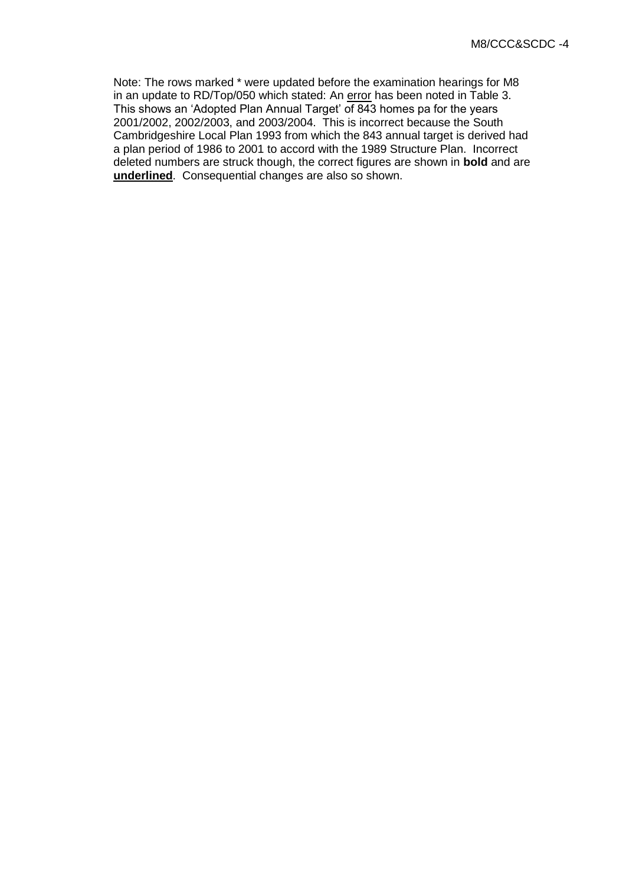Note: The rows marked \* were updated before the examination hearings for M8 in an update to RD/Top/050 which stated: An error has been noted in Table 3. This shows an 'Adopted Plan Annual Target' of 843 homes pa for the years 2001/2002, 2002/2003, and 2003/2004. This is incorrect because the South Cambridgeshire Local Plan 1993 from which the 843 annual target is derived had a plan period of 1986 to 2001 to accord with the 1989 Structure Plan. Incorrect deleted numbers are struck though, the correct figures are shown in **bold** and are **underlined**. Consequential changes are also so shown.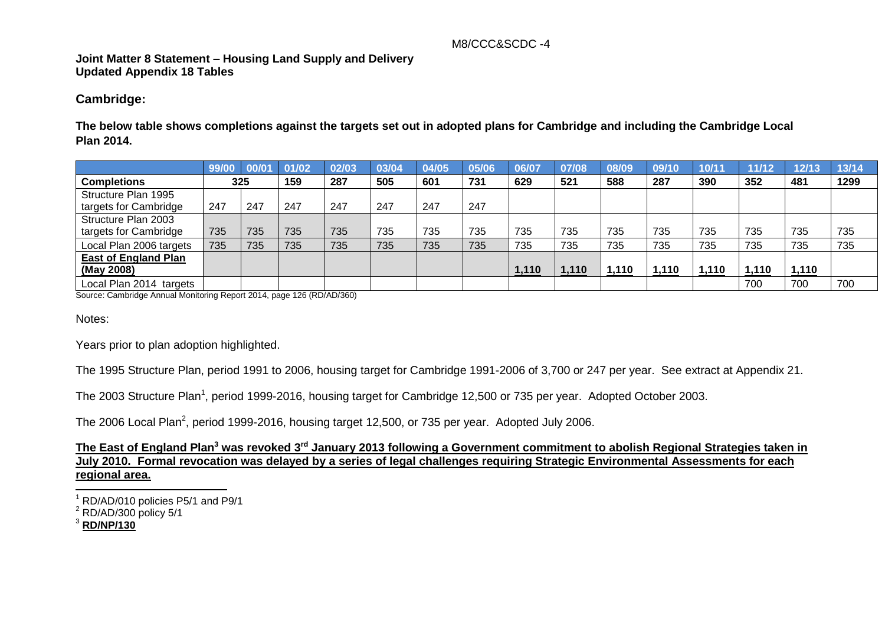#### M8/CCC&SCDC -4

# **Joint Matter 8 Statement – Housing Land Supply and Delivery Updated Appendix 18 Tables**

#### **Cambridge:**

**The below table shows completions against the targets set out in adopted plans for Cambridge and including the Cambridge Local Plan 2014.** 

|                             | 99/00 | 00/01 | 01/02 | 02/03 | 03/04 | 04/05 | 05/06 | 06/07 | 07/08 | 08/09 | 09/10 | 10/11 | 11/12 | 12/13 | 13/14 |
|-----------------------------|-------|-------|-------|-------|-------|-------|-------|-------|-------|-------|-------|-------|-------|-------|-------|
| <b>Completions</b>          | 325   |       | 159   | 287   | 505   | 601   | 731   | 629   | 521   | 588   | 287   | 390   | 352   | 481   | 1299  |
| Structure Plan 1995         |       |       |       |       |       |       |       |       |       |       |       |       |       |       |       |
| targets for Cambridge       | 247   | 247   | 247   | 247   | 247   | 247   | 247   |       |       |       |       |       |       |       |       |
| Structure Plan 2003         |       |       |       |       |       |       |       |       |       |       |       |       |       |       |       |
| targets for Cambridge       | 735   | 735   | 735   | 735   | 735   | 735   | 735   | 735   | 735   | 735   | 735   | 735   | 735   | 735   | 735   |
| Local Plan 2006 targets     | 735   | 735   | 735   | 735   | 735   | 735   | 735   | 735   | 735   | 735   | 735   | 735   | 735   | 735   | 735   |
| <b>East of England Plan</b> |       |       |       |       |       |       |       |       |       |       |       |       |       |       |       |
| (May 2008)                  |       |       |       |       |       |       |       | 1,110 | 1,110 | 1,110 | 1,110 | 1,110 | 1,110 | 1,110 |       |
| Local Plan 2014 targets     |       |       |       |       |       |       |       |       |       |       |       |       | 700   | 700   | 700   |

Source: Cambridge Annual Monitoring Report 2014, page 126 (RD/AD/360)

Notes:

Years prior to plan adoption highlighted.

The 1995 Structure Plan, period 1991 to 2006, housing target for Cambridge 1991-2006 of 3,700 or 247 per year. See extract at Appendix 21.

The 2003 Structure Plan<sup>1</sup>, period 1999-2016, housing target for Cambridge 12,500 or 735 per year. Adopted October 2003.

The 2006 Local Plan<sup>2</sup>, period 1999-2016, housing target 12,500, or 735 per year. Adopted July 2006.

**The East of England Plan<sup>3</sup> was revoked 3rd January 2013 following a Government commitment to abolish Regional Strategies taken in July 2010. Formal revocation was delayed by a series of legal challenges requiring Strategic Environmental Assessments for each regional area.** 

j  $1$  RD/AD/010 policies P5/1 and P9/1

 $2$  RD/AD/300 policy 5/1

<sup>3</sup> **RD/NP/130**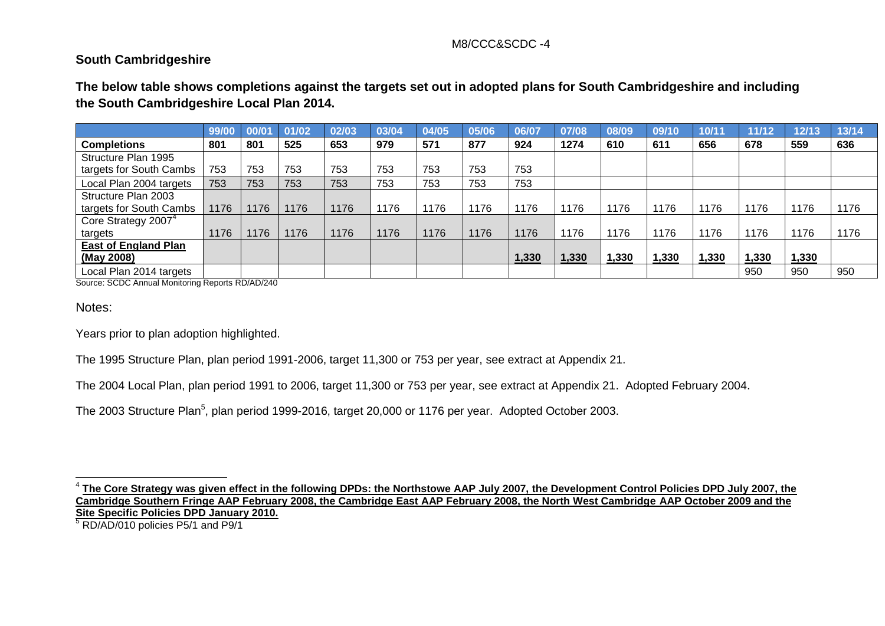### M8/CCC&SCDC -4

# **South Cambridgeshire**

**The below table shows completions against the targets set out in adopted plans for South Cambridgeshire and including the South Cambridgeshire Local Plan 2014.**

|                                 | 99/00 | 00/01 | 01/02 | 02/03 | 03/04 | 04/05 | 05/06 | 06/07 | 07/08 | 08/09 | 09/10 | 10/11 | 11/12 | 12/13 | 13/14 |
|---------------------------------|-------|-------|-------|-------|-------|-------|-------|-------|-------|-------|-------|-------|-------|-------|-------|
| <b>Completions</b>              | 801   | 801   | 525   | 653   | 979   | 571   | 877   | 924   | 1274  | 610   | 611   | 656   | 678   | 559   | 636   |
| Structure Plan 1995             |       |       |       |       |       |       |       |       |       |       |       |       |       |       |       |
| targets for South Cambs         | 753   | 753   | 753   | 753   | 753   | 753   | 753   | 753   |       |       |       |       |       |       |       |
| Local Plan 2004 targets         | 753   | 753   | 753   | 753   | 753   | 753   | 753   | 753   |       |       |       |       |       |       |       |
| Structure Plan 2003             |       |       |       |       |       |       |       |       |       |       |       |       |       |       |       |
| targets for South Cambs         | 1176  | 1176  | 1176  | 1176  | 176   | 1176  | 1176  | 176   | 1176  | 1176  | 1176  | 1176  | 1176  | 1176  | 1176  |
| Core Strategy 2007 <sup>4</sup> |       |       |       |       |       |       |       |       |       |       |       |       |       |       |       |
| targets                         | 1176  | 1176  | 1176  | 1176  | 1176  | 1176  | 1176  | 1176  | 1176  | 1176  | 1176  | 1176  | 1176  | 1176  | 1176  |
| <b>East of England Plan</b>     |       |       |       |       |       |       |       |       |       |       |       |       |       |       |       |
| (May 2008)                      |       |       |       |       |       |       |       | 1,330 | 1,330 | 1,330 | 1,330 | 1,330 | 1,330 | 1,330 |       |
| Local Plan 2014 targets         |       |       |       |       |       |       |       |       |       |       |       |       | 950   | 950   | 950   |

Source: SCDC Annual Monitoring Reports RD/AD/240

Notes:

Years prior to plan adoption highlighted.

The 1995 Structure Plan, plan period 1991-2006, target 11,300 or 753 per year, see extract at Appendix 21.

The 2004 Local Plan, plan period 1991 to 2006, target 11,300 or 753 per year, see extract at Appendix 21. Adopted February 2004.

The 2003 Structure Plan<sup>5</sup>, plan period 1999-2016, target 20,000 or 1176 per year. Adopted October 2003.

j  $^4$  <u>The Core Strategy was given effect in the following DPDs: the Northstowe AAP July 2007, the Development Control Policies DPD July 2007, the</u> **Cambridge Southern Fringe AAP February 2008, the Cambridge East AAP February 2008, the North West Cambridge AAP October 2009 and the Site Specific Policies DPD January 2010.** 

 $5$  RD/AD/010 policies P5/1 and P9/1